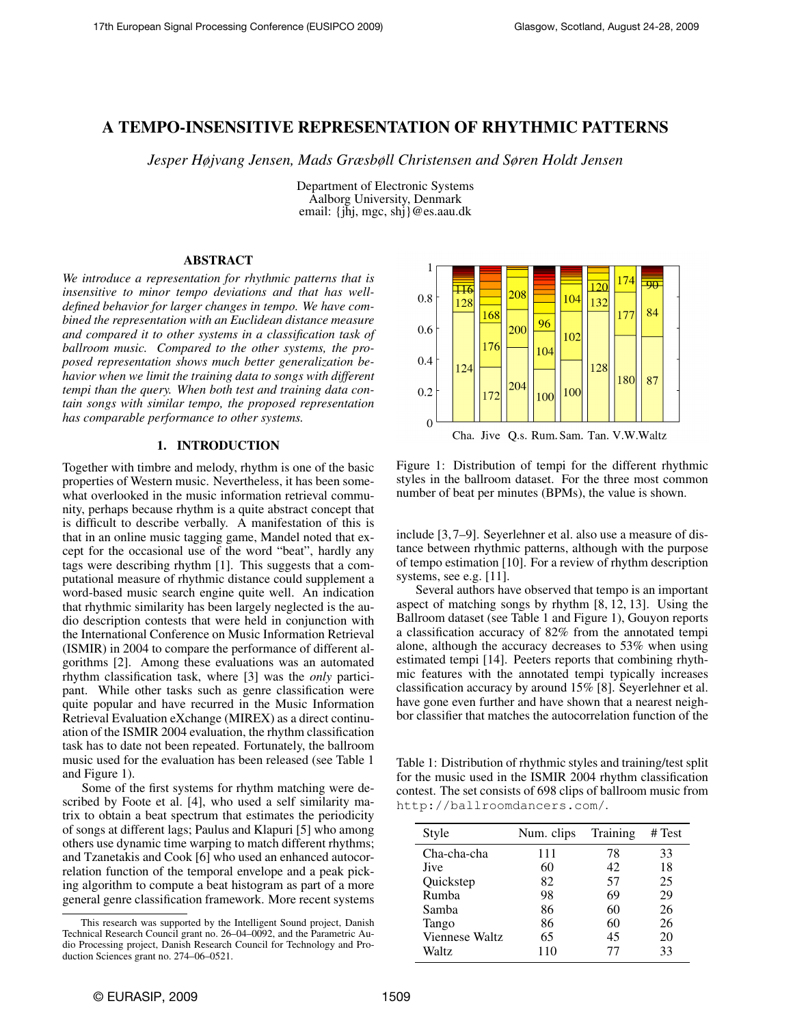# A TEMPO-INSENSITIVE REPRESENTATION OF RHYTHMIC PATTERNS

*Jesper Højvang Jensen, Mads Græsbøll Christensen and Søren Holdt Jensen*

Department of Electronic Systems Aalborg University, Denmark email: {jhj, mgc, shj}@es.aau.dk

## ABSTRACT

*We introduce a representation for rhythmic patterns that is insensitive to minor tempo deviations and that has welldefined behavior for larger changes in tempo. We have combined the representation with an Euclidean distance measure and compared it to other systems in a classification task of ballroom music. Compared to the other systems, the proposed representation shows much better generalization behavior when we limit the training data to songs with different tempi than the query. When both test and training data contain songs with similar tempo, the proposed representation has comparable performance to other systems.*

### 1. INTRODUCTION

Together with timbre and melody, rhythm is one of the basic properties of Western music. Nevertheless, it has been somewhat overlooked in the music information retrieval community, perhaps because rhythm is a quite abstract concept that is difficult to describe verbally. A manifestation of this is that in an online music tagging game, Mandel noted that except for the occasional use of the word "beat", hardly any tags were describing rhythm [1]. This suggests that a computational measure of rhythmic distance could supplement a word-based music search engine quite well. An indication that rhythmic similarity has been largely neglected is the audio description contests that were held in conjunction with the International Conference on Music Information Retrieval (ISMIR) in 2004 to compare the performance of different algorithms [2]. Among these evaluations was an automated rhythm classification task, where [3] was the *only* participant. While other tasks such as genre classification were quite popular and have recurred in the Music Information Retrieval Evaluation eXchange (MIREX) as a direct continuation of the ISMIR 2004 evaluation, the rhythm classification task has to date not been repeated. Fortunately, the ballroom music used for the evaluation has been released (see Table 1 and Figure 1).

Some of the first systems for rhythm matching were described by Foote et al. [4], who used a self similarity matrix to obtain a beat spectrum that estimates the periodicity of songs at different lags; Paulus and Klapuri [5] who among others use dynamic time warping to match different rhythms; and Tzanetakis and Cook [6] who used an enhanced autocorrelation function of the temporal envelope and a peak picking algorithm to compute a beat histogram as part of a more general genre classification framework. More recent systems



Figure 1: Distribution of tempi for the different rhythmic styles in the ballroom dataset. For the three most common number of beat per minutes (BPMs), the value is shown.

include [3, 7–9]. Seyerlehner et al. also use a measure of distance between rhythmic patterns, although with the purpose of tempo estimation [10]. For a review of rhythm description systems, see e.g. [11].

Several authors have observed that tempo is an important aspect of matching songs by rhythm [8, 12, 13]. Using the Ballroom dataset (see Table 1 and Figure 1), Gouyon reports a classification accuracy of 82% from the annotated tempi alone, although the accuracy decreases to 53% when using estimated tempi [14]. Peeters reports that combining rhythmic features with the annotated tempi typically increases classification accuracy by around 15% [8]. Seyerlehner et al. have gone even further and have shown that a nearest neighbor classifier that matches the autocorrelation function of the

Table 1: Distribution of rhythmic styles and training/test split for the music used in the ISMIR 2004 rhythm classification contest. The set consists of 698 clips of ballroom music from http://ballroomdancers.com/.

| Style          | Num. clips | Training | # Test |
|----------------|------------|----------|--------|
| Cha-cha-cha    | 111        | 78       | 33     |
| <b>Jive</b>    | 60         | 42       | 18     |
| Ouickstep      | 82         | 57       | 25     |
| Rumba          | 98         | 69       | 29     |
| Samba          | 86         | 60       | 26     |
| Tango          | 86         | 60       | 26     |
| Viennese Waltz | 65         | 45       | 20     |
| Waltz          | 110        | 77       | 33     |

This research was supported by the Intelligent Sound project, Danish Technical Research Council grant no. 26–04–0092, and the Parametric Audio Processing project, Danish Research Council for Technology and Production Sciences grant no. 274–06–0521.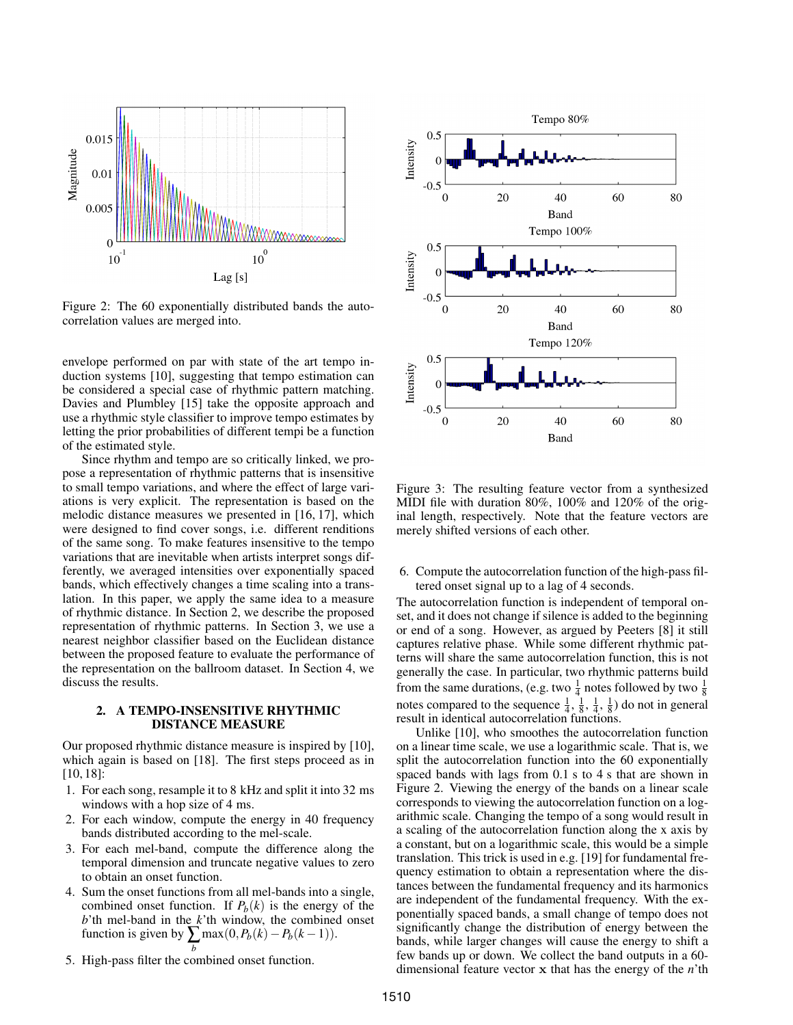

Figure 2: The 60 exponentially distributed bands the autocorrelation values are merged into.

envelope performed on par with state of the art tempo induction systems [10], suggesting that tempo estimation can be considered a special case of rhythmic pattern matching. Davies and Plumbley [15] take the opposite approach and use a rhythmic style classifier to improve tempo estimates by letting the prior probabilities of different tempi be a function of the estimated style.

Since rhythm and tempo are so critically linked, we propose a representation of rhythmic patterns that is insensitive to small tempo variations, and where the effect of large variations is very explicit. The representation is based on the melodic distance measures we presented in [16, 17], which were designed to find cover songs, i.e. different renditions of the same song. To make features insensitive to the tempo variations that are inevitable when artists interpret songs differently, we averaged intensities over exponentially spaced bands, which effectively changes a time scaling into a translation. In this paper, we apply the same idea to a measure of rhythmic distance. In Section 2, we describe the proposed representation of rhythmic patterns. In Section 3, we use a nearest neighbor classifier based on the Euclidean distance between the proposed feature to evaluate the performance of the representation on the ballroom dataset. In Section 4, we discuss the results.

### 2. A TEMPO-INSENSITIVE RHYTHMIC DISTANCE MEASURE

Our proposed rhythmic distance measure is inspired by [10], which again is based on [18]. The first steps proceed as in [10, 18]:

- 1. For each song, resample it to 8 kHz and split it into 32 ms windows with a hop size of 4 ms.
- 2. For each window, compute the energy in 40 frequency bands distributed according to the mel-scale.
- 3. For each mel-band, compute the difference along the temporal dimension and truncate negative values to zero to obtain an onset function.
- 4. Sum the onset functions from all mel-bands into a single, combined onset function. If  $P_b(k)$  is the energy of the *b*'th mel-band in the *k*'th window, the combined onset function is given by  $\sum_{k} \max(0, P_b(k) - P_b(k-1)).$
- *b* 5. High-pass filter the combined onset function.



Figure 3: The resulting feature vector from a synthesized MIDI file with duration 80%, 100% and 120% of the original length, respectively. Note that the feature vectors are merely shifted versions of each other.

6. Compute the autocorrelation function of the high-pass filtered onset signal up to a lag of 4 seconds.

The autocorrelation function is independent of temporal onset, and it does not change if silence is added to the beginning or end of a song. However, as argued by Peeters [8] it still captures relative phase. While some different rhythmic patterns will share the same autocorrelation function, this is not generally the case. In particular, two rhythmic patterns build from the same durations, (e.g. two  $\frac{1}{4}$  notes followed by two  $\frac{1}{8}$ notes compared to the sequence  $\frac{1}{4}$ ,  $\frac{1}{8}$ ,  $\frac{1}{4}$ ,  $\frac{1}{8}$ ) do not in general result in identical autocorrelation functions.

Unlike [10], who smoothes the autocorrelation function on a linear time scale, we use a logarithmic scale. That is, we split the autocorrelation function into the 60 exponentially spaced bands with lags from 0.1 s to 4 s that are shown in Figure 2. Viewing the energy of the bands on a linear scale corresponds to viewing the autocorrelation function on a logarithmic scale. Changing the tempo of a song would result in a scaling of the autocorrelation function along the x axis by a constant, but on a logarithmic scale, this would be a simple translation. This trick is used in e.g. [19] for fundamental frequency estimation to obtain a representation where the distances between the fundamental frequency and its harmonics are independent of the fundamental frequency. With the exponentially spaced bands, a small change of tempo does not significantly change the distribution of energy between the bands, while larger changes will cause the energy to shift a few bands up or down. We collect the band outputs in a 60 dimensional feature vector x that has the energy of the *n*'th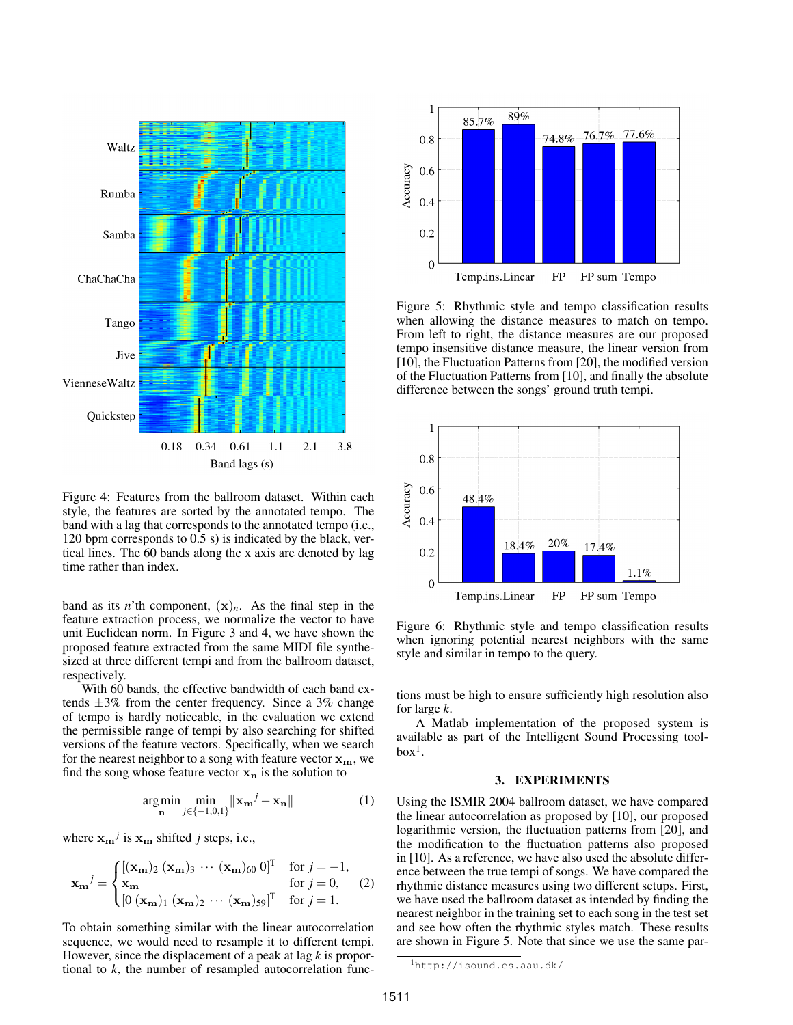

Figure 4: Features from the ballroom dataset. Within each style, the features are sorted by the annotated tempo. The band with a lag that corresponds to the annotated tempo (i.e., 120 bpm corresponds to 0.5 s) is indicated by the black, vertical lines. The 60 bands along the x axis are denoted by lag time rather than index.

band as its *n*'th component,  $(x)<sub>n</sub>$ . As the final step in the feature extraction process, we normalize the vector to have unit Euclidean norm. In Figure 3 and 4, we have shown the proposed feature extracted from the same MIDI file synthesized at three different tempi and from the ballroom dataset, respectively.

With 60 bands, the effective bandwidth of each band extends  $\pm 3\%$  from the center frequency. Since a 3% change of tempo is hardly noticeable, in the evaluation we extend the permissible range of tempi by also searching for shifted versions of the feature vectors. Specifically, when we search for the nearest neighbor to a song with feature vector  $x_m$ , we find the song whose feature vector  $x_n$  is the solution to

$$
\underset{\mathbf{n}}{\operatorname{arg\,min}} \underset{j \in \{-1,0,1\}}{\min} \|\mathbf{x}_{\mathbf{m}}^j - \mathbf{x}_{\mathbf{n}}\| \tag{1}
$$

where  $\mathbf{x_m}^j$  is  $\mathbf{x_m}$  shifted *j* steps, i.e.,

$$
\mathbf{x_m}^j = \begin{cases} [(\mathbf{x_m})_2 \ (\mathbf{x_m})_3 \ \cdots \ (\mathbf{x_m})_{60} \ 0]^T & \text{for } j = -1, \\ \mathbf{x_m} & \text{for } j = 0, \\ [0 \ (\mathbf{x_m})_1 \ (\mathbf{x_m})_2 \ \cdots \ (\mathbf{x_m})_{59}]^T & \text{for } j = 1. \end{cases}
$$
 (2)

To obtain something similar with the linear autocorrelation sequence, we would need to resample it to different tempi. However, since the displacement of a peak at lag *k* is proportional to *k*, the number of resampled autocorrelation func-



Figure 5: Rhythmic style and tempo classification results when allowing the distance measures to match on tempo. From left to right, the distance measures are our proposed tempo insensitive distance measure, the linear version from [10], the Fluctuation Patterns from [20], the modified version of the Fluctuation Patterns from [10], and finally the absolute difference between the songs' ground truth tempi.



Figure 6: Rhythmic style and tempo classification results when ignoring potential nearest neighbors with the same style and similar in tempo to the query.

tions must be high to ensure sufficiently high resolution also for large *k*.

A Matlab implementation of the proposed system is available as part of the Intelligent Sound Processing tool $box<sup>1</sup>$ .

### 3. EXPERIMENTS

Using the ISMIR 2004 ballroom dataset, we have compared the linear autocorrelation as proposed by [10], our proposed logarithmic version, the fluctuation patterns from [20], and the modification to the fluctuation patterns also proposed in [10]. As a reference, we have also used the absolute difference between the true tempi of songs. We have compared the rhythmic distance measures using two different setups. First, we have used the ballroom dataset as intended by finding the nearest neighbor in the training set to each song in the test set and see how often the rhythmic styles match. These results are shown in Figure 5. Note that since we use the same par-

<sup>1</sup>http://isound.es.aau.dk/